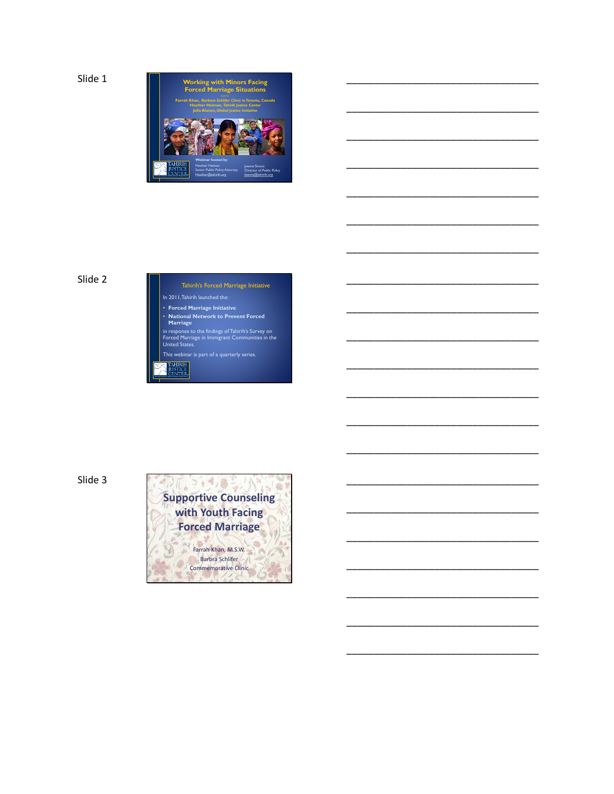

\_\_\_\_\_\_\_\_\_\_\_\_\_\_\_\_\_\_\_\_\_\_\_\_\_\_\_\_\_\_\_\_\_\_\_

\_\_\_\_\_\_\_\_\_\_\_\_\_\_\_\_\_\_\_\_\_\_\_\_\_\_\_\_\_\_\_\_\_\_\_

\_\_\_\_\_\_\_\_\_\_\_\_\_\_\_\_\_\_\_\_\_\_\_\_\_\_\_\_\_\_\_\_\_\_\_

\_\_\_\_\_\_\_\_\_\_\_\_\_\_\_\_\_\_\_\_\_\_\_\_\_\_\_\_\_\_\_\_\_\_\_

\_\_\_\_\_\_\_\_\_\_\_\_\_\_\_\_\_\_\_\_\_\_\_\_\_\_\_\_\_\_\_\_\_\_\_

\_\_\_\_\_\_\_\_\_\_\_\_\_\_\_\_\_\_\_\_\_\_\_\_\_\_\_\_\_\_\_\_\_\_\_

\_\_\_\_\_\_\_\_\_\_\_\_\_\_\_\_\_\_\_\_\_\_\_\_\_\_\_\_\_\_\_\_\_\_\_

\_\_\_\_\_\_\_\_\_\_\_\_\_\_\_\_\_\_\_\_\_\_\_\_\_\_\_\_\_\_\_\_\_\_\_

\_\_\_\_\_\_\_\_\_\_\_\_\_\_\_\_\_\_\_\_\_\_\_\_\_\_\_\_\_\_\_\_\_\_\_

\_\_\_\_\_\_\_\_\_\_\_\_\_\_\_\_\_\_\_\_\_\_\_\_\_\_\_\_\_\_\_\_\_\_\_

\_\_\_\_\_\_\_\_\_\_\_\_\_\_\_\_\_\_\_\_\_\_\_\_\_\_\_\_\_\_\_\_\_\_\_

\_\_\_\_\_\_\_\_\_\_\_\_\_\_\_\_\_\_\_\_\_\_\_\_\_\_\_\_\_\_\_\_\_\_\_

\_\_\_\_\_\_\_\_\_\_\_\_\_\_\_\_\_\_\_\_\_\_\_\_\_\_\_\_\_\_\_\_\_\_\_

\_\_\_\_\_\_\_\_\_\_\_\_\_\_\_\_\_\_\_\_\_\_\_\_\_\_\_\_\_\_\_\_\_\_\_

\_\_\_\_\_\_\_\_\_\_\_\_\_\_\_\_\_\_\_\_\_\_\_\_\_\_\_\_\_\_\_\_\_\_\_

\_\_\_\_\_\_\_\_\_\_\_\_\_\_\_\_\_\_\_\_\_\_\_\_\_\_\_\_\_\_\_\_\_\_\_

\_\_\_\_\_\_\_\_\_\_\_\_\_\_\_\_\_\_\_\_\_\_\_\_\_\_\_\_\_\_\_\_\_\_\_

\_\_\_\_\_\_\_\_\_\_\_\_\_\_\_\_\_\_\_\_\_\_\_\_\_\_\_\_\_\_\_\_\_\_\_

\_\_\_\_\_\_\_\_\_\_\_\_\_\_\_\_\_\_\_\_\_\_\_\_\_\_\_\_\_\_\_\_\_\_\_

\_\_\_\_\_\_\_\_\_\_\_\_\_\_\_\_\_\_\_\_\_\_\_\_\_\_\_\_\_\_\_\_\_\_\_

\_\_\_\_\_\_\_\_\_\_\_\_\_\_\_\_\_\_\_\_\_\_\_\_\_\_\_\_\_\_\_\_\_\_\_

# Slide 2



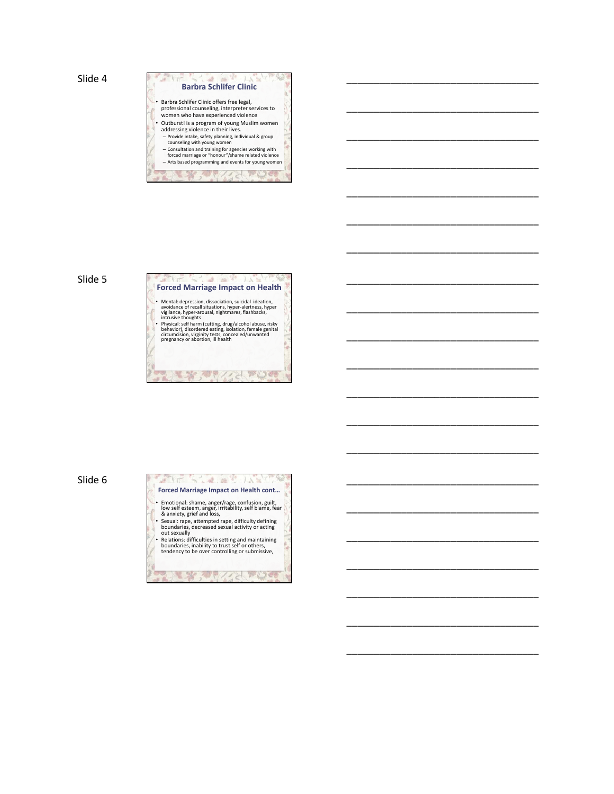

\_\_\_\_\_\_\_\_\_\_\_\_\_\_\_\_\_\_\_\_\_\_\_\_\_\_\_\_\_\_\_\_\_\_\_

\_\_\_\_\_\_\_\_\_\_\_\_\_\_\_\_\_\_\_\_\_\_\_\_\_\_\_\_\_\_\_\_\_\_\_

\_\_\_\_\_\_\_\_\_\_\_\_\_\_\_\_\_\_\_\_\_\_\_\_\_\_\_\_\_\_\_\_\_\_\_

\_\_\_\_\_\_\_\_\_\_\_\_\_\_\_\_\_\_\_\_\_\_\_\_\_\_\_\_\_\_\_\_\_\_\_

\_\_\_\_\_\_\_\_\_\_\_\_\_\_\_\_\_\_\_\_\_\_\_\_\_\_\_\_\_\_\_\_\_\_\_

\_\_\_\_\_\_\_\_\_\_\_\_\_\_\_\_\_\_\_\_\_\_\_\_\_\_\_\_\_\_\_\_\_\_\_

\_\_\_\_\_\_\_\_\_\_\_\_\_\_\_\_\_\_\_\_\_\_\_\_\_\_\_\_\_\_\_\_\_\_\_

\_\_\_\_\_\_\_\_\_\_\_\_\_\_\_\_\_\_\_\_\_\_\_\_\_\_\_\_\_\_\_\_\_\_\_

\_\_\_\_\_\_\_\_\_\_\_\_\_\_\_\_\_\_\_\_\_\_\_\_\_\_\_\_\_\_\_\_\_\_\_

\_\_\_\_\_\_\_\_\_\_\_\_\_\_\_\_\_\_\_\_\_\_\_\_\_\_\_\_\_\_\_\_\_\_\_

\_\_\_\_\_\_\_\_\_\_\_\_\_\_\_\_\_\_\_\_\_\_\_\_\_\_\_\_\_\_\_\_\_\_\_

\_\_\_\_\_\_\_\_\_\_\_\_\_\_\_\_\_\_\_\_\_\_\_\_\_\_\_\_\_\_\_\_\_\_\_

\_\_\_\_\_\_\_\_\_\_\_\_\_\_\_\_\_\_\_\_\_\_\_\_\_\_\_\_\_\_\_\_\_\_\_

\_\_\_\_\_\_\_\_\_\_\_\_\_\_\_\_\_\_\_\_\_\_\_\_\_\_\_\_\_\_\_\_\_\_\_

\_\_\_\_\_\_\_\_\_\_\_\_\_\_\_\_\_\_\_\_\_\_\_\_\_\_\_\_\_\_\_\_\_\_\_

\_\_\_\_\_\_\_\_\_\_\_\_\_\_\_\_\_\_\_\_\_\_\_\_\_\_\_\_\_\_\_\_\_\_\_

\_\_\_\_\_\_\_\_\_\_\_\_\_\_\_\_\_\_\_\_\_\_\_\_\_\_\_\_\_\_\_\_\_\_\_

\_\_\_\_\_\_\_\_\_\_\_\_\_\_\_\_\_\_\_\_\_\_\_\_\_\_\_\_\_\_\_\_\_\_\_

\_\_\_\_\_\_\_\_\_\_\_\_\_\_\_\_\_\_\_\_\_\_\_\_\_\_\_\_\_\_\_\_\_\_\_

\_\_\_\_\_\_\_\_\_\_\_\_\_\_\_\_\_\_\_\_\_\_\_\_\_\_\_\_\_\_\_\_\_\_\_

\_\_\_\_\_\_\_\_\_\_\_\_\_\_\_\_\_\_\_\_\_\_\_\_\_\_\_\_\_\_\_\_\_\_\_

## Slide 5



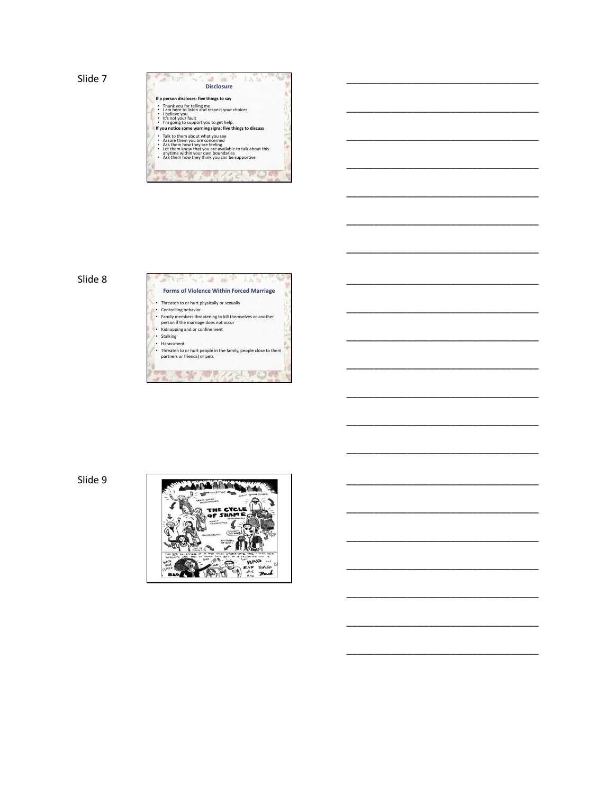Slide 7 **Discript** 

| <b>Disclosure</b>                                                                                                                                                                                                                                     |
|-------------------------------------------------------------------------------------------------------------------------------------------------------------------------------------------------------------------------------------------------------|
| If a person discloses: five things to say                                                                                                                                                                                                             |
| Thank you for telling me<br>I am here to listen and respect your choices<br>• I believe you<br>• It's not your fault<br>I'm going to support you to get help.<br>If you notice some warning signs: five things to discuss                             |
| Talk to them about what you see<br>Assure them you are concerned<br>Ask them how they are feeling<br>Let them know that you are available to talk about this<br>anytime within your own boundaries<br>• Ask them how they think you can be supportive |

\_\_\_\_\_\_\_\_\_\_\_\_\_\_\_\_\_\_\_\_\_\_\_\_\_\_\_\_\_\_\_\_\_\_\_

\_\_\_\_\_\_\_\_\_\_\_\_\_\_\_\_\_\_\_\_\_\_\_\_\_\_\_\_\_\_\_\_\_\_\_

\_\_\_\_\_\_\_\_\_\_\_\_\_\_\_\_\_\_\_\_\_\_\_\_\_\_\_\_\_\_\_\_\_\_\_

\_\_\_\_\_\_\_\_\_\_\_\_\_\_\_\_\_\_\_\_\_\_\_\_\_\_\_\_\_\_\_\_\_\_\_

\_\_\_\_\_\_\_\_\_\_\_\_\_\_\_\_\_\_\_\_\_\_\_\_\_\_\_\_\_\_\_\_\_\_\_

\_\_\_\_\_\_\_\_\_\_\_\_\_\_\_\_\_\_\_\_\_\_\_\_\_\_\_\_\_\_\_\_\_\_\_

\_\_\_\_\_\_\_\_\_\_\_\_\_\_\_\_\_\_\_\_\_\_\_\_\_\_\_\_\_\_\_\_\_\_\_

\_\_\_\_\_\_\_\_\_\_\_\_\_\_\_\_\_\_\_\_\_\_\_\_\_\_\_\_\_\_\_\_\_\_\_

\_\_\_\_\_\_\_\_\_\_\_\_\_\_\_\_\_\_\_\_\_\_\_\_\_\_\_\_\_\_\_\_\_\_\_

\_\_\_\_\_\_\_\_\_\_\_\_\_\_\_\_\_\_\_\_\_\_\_\_\_\_\_\_\_\_\_\_\_\_\_

\_\_\_\_\_\_\_\_\_\_\_\_\_\_\_\_\_\_\_\_\_\_\_\_\_\_\_\_\_\_\_\_\_\_\_

\_\_\_\_\_\_\_\_\_\_\_\_\_\_\_\_\_\_\_\_\_\_\_\_\_\_\_\_\_\_\_\_\_\_\_

\_\_\_\_\_\_\_\_\_\_\_\_\_\_\_\_\_\_\_\_\_\_\_\_\_\_\_\_\_\_\_\_\_\_\_

\_\_\_\_\_\_\_\_\_\_\_\_\_\_\_\_\_\_\_\_\_\_\_\_\_\_\_\_\_\_\_\_\_\_\_

\_\_\_\_\_\_\_\_\_\_\_\_\_\_\_\_\_\_\_\_\_\_\_\_\_\_\_\_\_\_\_\_\_\_\_

\_\_\_\_\_\_\_\_\_\_\_\_\_\_\_\_\_\_\_\_\_\_\_\_\_\_\_\_\_\_\_\_\_\_\_

\_\_\_\_\_\_\_\_\_\_\_\_\_\_\_\_\_\_\_\_\_\_\_\_\_\_\_\_\_\_\_\_\_\_\_

\_\_\_\_\_\_\_\_\_\_\_\_\_\_\_\_\_\_\_\_\_\_\_\_\_\_\_\_\_\_\_\_\_\_\_

\_\_\_\_\_\_\_\_\_\_\_\_\_\_\_\_\_\_\_\_\_\_\_\_\_\_\_\_\_\_\_\_\_\_\_

\_\_\_\_\_\_\_\_\_\_\_\_\_\_\_\_\_\_\_\_\_\_\_\_\_\_\_\_\_\_\_\_\_\_\_



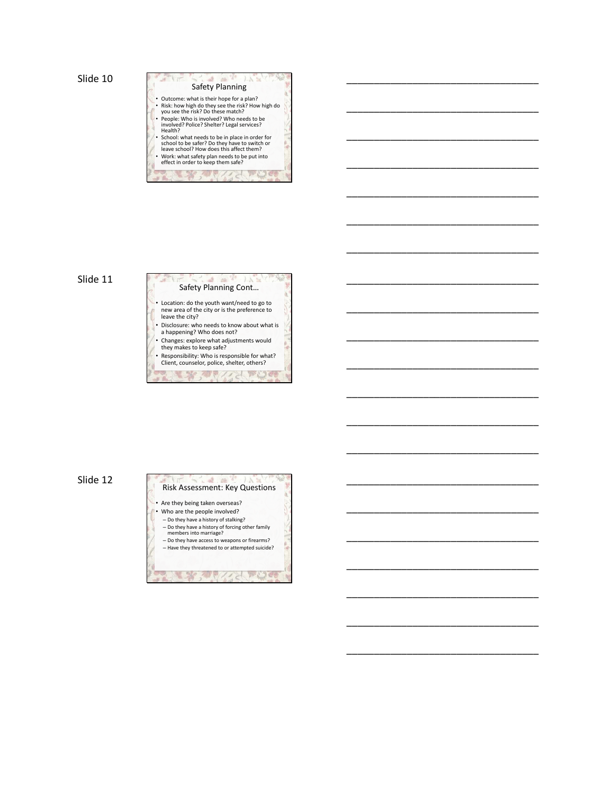| <b>Safety Planning</b>                                                                                                                        |
|-----------------------------------------------------------------------------------------------------------------------------------------------|
| • Outcome: what is their hope for a plan?<br>. Risk: how high do they see the risk? How high do<br>you see the risk? Do these match?          |
| · People: Who is involved? Who needs to be<br>involved? Police? Shelter? Legal services?<br>Health?                                           |
| · School: what needs to be in place in order for<br>school to be safer? Do they have to switch or<br>leave school? How does this affect them? |
| . Work: what safety plan needs to be put into<br>effect in order to keep them safe?                                                           |

\_\_\_\_\_\_\_\_\_\_\_\_\_\_\_\_\_\_\_\_\_\_\_\_\_\_\_\_\_\_\_\_\_\_\_

\_\_\_\_\_\_\_\_\_\_\_\_\_\_\_\_\_\_\_\_\_\_\_\_\_\_\_\_\_\_\_\_\_\_\_

\_\_\_\_\_\_\_\_\_\_\_\_\_\_\_\_\_\_\_\_\_\_\_\_\_\_\_\_\_\_\_\_\_\_\_

\_\_\_\_\_\_\_\_\_\_\_\_\_\_\_\_\_\_\_\_\_\_\_\_\_\_\_\_\_\_\_\_\_\_\_

\_\_\_\_\_\_\_\_\_\_\_\_\_\_\_\_\_\_\_\_\_\_\_\_\_\_\_\_\_\_\_\_\_\_\_

\_\_\_\_\_\_\_\_\_\_\_\_\_\_\_\_\_\_\_\_\_\_\_\_\_\_\_\_\_\_\_\_\_\_\_

\_\_\_\_\_\_\_\_\_\_\_\_\_\_\_\_\_\_\_\_\_\_\_\_\_\_\_\_\_\_\_\_\_\_\_

\_\_\_\_\_\_\_\_\_\_\_\_\_\_\_\_\_\_\_\_\_\_\_\_\_\_\_\_\_\_\_\_\_\_\_

\_\_\_\_\_\_\_\_\_\_\_\_\_\_\_\_\_\_\_\_\_\_\_\_\_\_\_\_\_\_\_\_\_\_\_

\_\_\_\_\_\_\_\_\_\_\_\_\_\_\_\_\_\_\_\_\_\_\_\_\_\_\_\_\_\_\_\_\_\_\_

\_\_\_\_\_\_\_\_\_\_\_\_\_\_\_\_\_\_\_\_\_\_\_\_\_\_\_\_\_\_\_\_\_\_\_

\_\_\_\_\_\_\_\_\_\_\_\_\_\_\_\_\_\_\_\_\_\_\_\_\_\_\_\_\_\_\_\_\_\_\_

\_\_\_\_\_\_\_\_\_\_\_\_\_\_\_\_\_\_\_\_\_\_\_\_\_\_\_\_\_\_\_\_\_\_\_

\_\_\_\_\_\_\_\_\_\_\_\_\_\_\_\_\_\_\_\_\_\_\_\_\_\_\_\_\_\_\_\_\_\_\_

\_\_\_\_\_\_\_\_\_\_\_\_\_\_\_\_\_\_\_\_\_\_\_\_\_\_\_\_\_\_\_\_\_\_\_

\_\_\_\_\_\_\_\_\_\_\_\_\_\_\_\_\_\_\_\_\_\_\_\_\_\_\_\_\_\_\_\_\_\_\_

\_\_\_\_\_\_\_\_\_\_\_\_\_\_\_\_\_\_\_\_\_\_\_\_\_\_\_\_\_\_\_\_\_\_\_

\_\_\_\_\_\_\_\_\_\_\_\_\_\_\_\_\_\_\_\_\_\_\_\_\_\_\_\_\_\_\_\_\_\_\_

\_\_\_\_\_\_\_\_\_\_\_\_\_\_\_\_\_\_\_\_\_\_\_\_\_\_\_\_\_\_\_\_\_\_\_

\_\_\_\_\_\_\_\_\_\_\_\_\_\_\_\_\_\_\_\_\_\_\_\_\_\_\_\_\_\_\_\_\_\_\_

\_\_\_\_\_\_\_\_\_\_\_\_\_\_\_\_\_\_\_\_\_\_\_\_\_\_\_\_\_\_\_\_\_\_\_

# Slide 11



 $\lambda$ 

- Changes: explore what adjustments would they makes to keep safe?
- Responsibility: Who is responsible for what? Client, counselor, police, shelter, others?

ANY CAPIDE **BLS** 

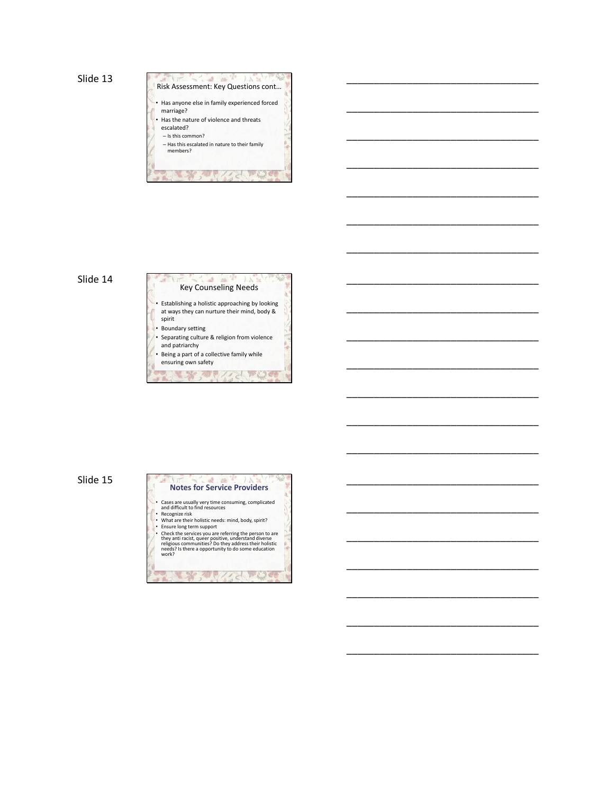$\rightarrow$ **AS** Risk Assessment: Key Questions cont… • Has anyone else in family experienced forced marriage? • Has the nature of violence and threats escalated? – Is this common? – Has this escalated in nature to their family members?

The Manufacturer

\_\_\_\_\_\_\_\_\_\_\_\_\_\_\_\_\_\_\_\_\_\_\_\_\_\_\_\_\_\_\_\_\_\_\_

\_\_\_\_\_\_\_\_\_\_\_\_\_\_\_\_\_\_\_\_\_\_\_\_\_\_\_\_\_\_\_\_\_\_\_

\_\_\_\_\_\_\_\_\_\_\_\_\_\_\_\_\_\_\_\_\_\_\_\_\_\_\_\_\_\_\_\_\_\_\_

\_\_\_\_\_\_\_\_\_\_\_\_\_\_\_\_\_\_\_\_\_\_\_\_\_\_\_\_\_\_\_\_\_\_\_

\_\_\_\_\_\_\_\_\_\_\_\_\_\_\_\_\_\_\_\_\_\_\_\_\_\_\_\_\_\_\_\_\_\_\_

\_\_\_\_\_\_\_\_\_\_\_\_\_\_\_\_\_\_\_\_\_\_\_\_\_\_\_\_\_\_\_\_\_\_\_

\_\_\_\_\_\_\_\_\_\_\_\_\_\_\_\_\_\_\_\_\_\_\_\_\_\_\_\_\_\_\_\_\_\_\_

\_\_\_\_\_\_\_\_\_\_\_\_\_\_\_\_\_\_\_\_\_\_\_\_\_\_\_\_\_\_\_\_\_\_\_

\_\_\_\_\_\_\_\_\_\_\_\_\_\_\_\_\_\_\_\_\_\_\_\_\_\_\_\_\_\_\_\_\_\_\_

\_\_\_\_\_\_\_\_\_\_\_\_\_\_\_\_\_\_\_\_\_\_\_\_\_\_\_\_\_\_\_\_\_\_\_

\_\_\_\_\_\_\_\_\_\_\_\_\_\_\_\_\_\_\_\_\_\_\_\_\_\_\_\_\_\_\_\_\_\_\_

\_\_\_\_\_\_\_\_\_\_\_\_\_\_\_\_\_\_\_\_\_\_\_\_\_\_\_\_\_\_\_\_\_\_\_

\_\_\_\_\_\_\_\_\_\_\_\_\_\_\_\_\_\_\_\_\_\_\_\_\_\_\_\_\_\_\_\_\_\_\_

\_\_\_\_\_\_\_\_\_\_\_\_\_\_\_\_\_\_\_\_\_\_\_\_\_\_\_\_\_\_\_\_\_\_\_

\_\_\_\_\_\_\_\_\_\_\_\_\_\_\_\_\_\_\_\_\_\_\_\_\_\_\_\_\_\_\_\_\_\_\_

\_\_\_\_\_\_\_\_\_\_\_\_\_\_\_\_\_\_\_\_\_\_\_\_\_\_\_\_\_\_\_\_\_\_\_

\_\_\_\_\_\_\_\_\_\_\_\_\_\_\_\_\_\_\_\_\_\_\_\_\_\_\_\_\_\_\_\_\_\_\_

\_\_\_\_\_\_\_\_\_\_\_\_\_\_\_\_\_\_\_\_\_\_\_\_\_\_\_\_\_\_\_\_\_\_\_

\_\_\_\_\_\_\_\_\_\_\_\_\_\_\_\_\_\_\_\_\_\_\_\_\_\_\_\_\_\_\_\_\_\_\_

\_\_\_\_\_\_\_\_\_\_\_\_\_\_\_\_\_\_\_\_\_\_\_\_\_\_\_\_\_\_\_\_\_\_\_

\_\_\_\_\_\_\_\_\_\_\_\_\_\_\_\_\_\_\_\_\_\_\_\_\_\_\_\_\_\_\_\_\_\_\_

# Slide 14



- Separating culture & religion from violence and patriarchy
- Being a part of a collective family while

ensuring own safety Sally College



Sam All Ande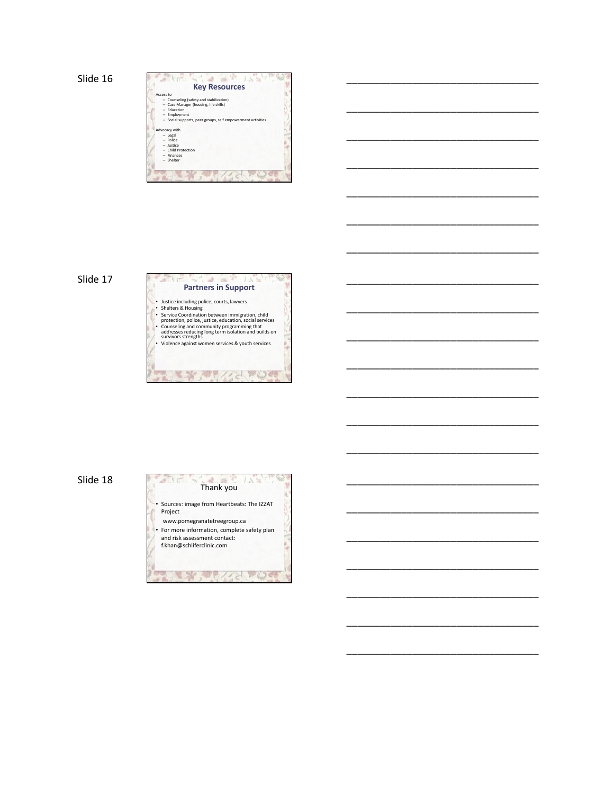| Access to     | <b>Key Resources</b>                                        |
|---------------|-------------------------------------------------------------|
|               | - Counseling (safety and stabilization)                     |
|               | - Case Manager (housing, life skills)                       |
|               | - Education                                                 |
| -             | Employment                                                  |
|               | - Social supports, peer groups, self empowerment activities |
|               |                                                             |
| Advocacy with |                                                             |
| - Legal       |                                                             |
| $-$ Police    |                                                             |
| - Justice     |                                                             |
|               | - Child Protection                                          |
|               | - Finances                                                  |
| - Shelter     |                                                             |
|               |                                                             |

\_\_\_\_\_\_\_\_\_\_\_\_\_\_\_\_\_\_\_\_\_\_\_\_\_\_\_\_\_\_\_\_\_\_\_

\_\_\_\_\_\_\_\_\_\_\_\_\_\_\_\_\_\_\_\_\_\_\_\_\_\_\_\_\_\_\_\_\_\_\_

\_\_\_\_\_\_\_\_\_\_\_\_\_\_\_\_\_\_\_\_\_\_\_\_\_\_\_\_\_\_\_\_\_\_\_

\_\_\_\_\_\_\_\_\_\_\_\_\_\_\_\_\_\_\_\_\_\_\_\_\_\_\_\_\_\_\_\_\_\_\_

\_\_\_\_\_\_\_\_\_\_\_\_\_\_\_\_\_\_\_\_\_\_\_\_\_\_\_\_\_\_\_\_\_\_\_

\_\_\_\_\_\_\_\_\_\_\_\_\_\_\_\_\_\_\_\_\_\_\_\_\_\_\_\_\_\_\_\_\_\_\_

\_\_\_\_\_\_\_\_\_\_\_\_\_\_\_\_\_\_\_\_\_\_\_\_\_\_\_\_\_\_\_\_\_\_\_

\_\_\_\_\_\_\_\_\_\_\_\_\_\_\_\_\_\_\_\_\_\_\_\_\_\_\_\_\_\_\_\_\_\_\_

\_\_\_\_\_\_\_\_\_\_\_\_\_\_\_\_\_\_\_\_\_\_\_\_\_\_\_\_\_\_\_\_\_\_\_

\_\_\_\_\_\_\_\_\_\_\_\_\_\_\_\_\_\_\_\_\_\_\_\_\_\_\_\_\_\_\_\_\_\_\_

\_\_\_\_\_\_\_\_\_\_\_\_\_\_\_\_\_\_\_\_\_\_\_\_\_\_\_\_\_\_\_\_\_\_\_

\_\_\_\_\_\_\_\_\_\_\_\_\_\_\_\_\_\_\_\_\_\_\_\_\_\_\_\_\_\_\_\_\_\_\_

\_\_\_\_\_\_\_\_\_\_\_\_\_\_\_\_\_\_\_\_\_\_\_\_\_\_\_\_\_\_\_\_\_\_\_

\_\_\_\_\_\_\_\_\_\_\_\_\_\_\_\_\_\_\_\_\_\_\_\_\_\_\_\_\_\_\_\_\_\_\_

\_\_\_\_\_\_\_\_\_\_\_\_\_\_\_\_\_\_\_\_\_\_\_\_\_\_\_\_\_\_\_\_\_\_\_

\_\_\_\_\_\_\_\_\_\_\_\_\_\_\_\_\_\_\_\_\_\_\_\_\_\_\_\_\_\_\_\_\_\_\_

\_\_\_\_\_\_\_\_\_\_\_\_\_\_\_\_\_\_\_\_\_\_\_\_\_\_\_\_\_\_\_\_\_\_\_

\_\_\_\_\_\_\_\_\_\_\_\_\_\_\_\_\_\_\_\_\_\_\_\_\_\_\_\_\_\_\_\_\_\_\_

\_\_\_\_\_\_\_\_\_\_\_\_\_\_\_\_\_\_\_\_\_\_\_\_\_\_\_\_\_\_\_\_\_\_\_

\_\_\_\_\_\_\_\_\_\_\_\_\_\_\_\_\_\_\_\_\_\_\_\_\_\_\_\_\_\_\_\_\_\_\_

\_\_\_\_\_\_\_\_\_\_\_\_\_\_\_\_\_\_\_\_\_\_\_\_\_\_\_\_\_\_\_\_\_\_\_

# Slide 17



 $-16$  $\sim$   $\lambda$ 

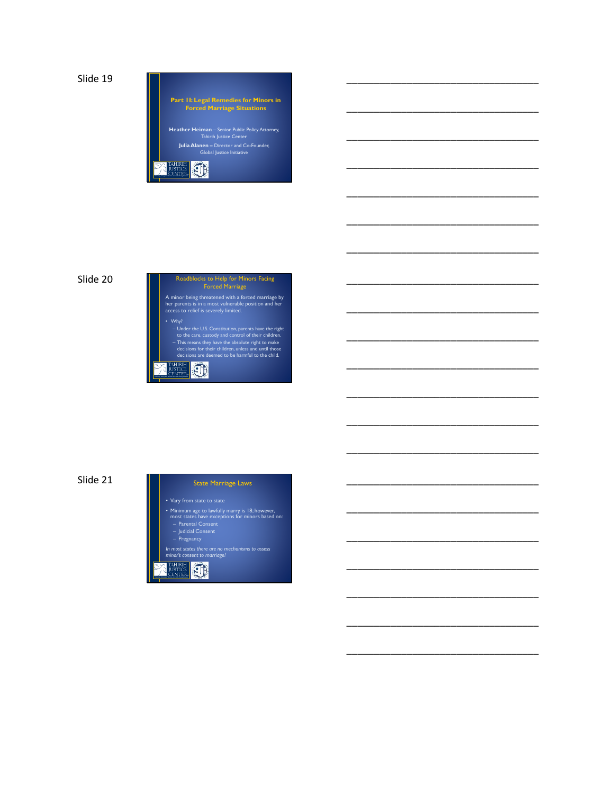**Part 1I: Legal Remedies for Minors in Forced Marriage Situations Heather Heiman** – Senior Public Policy Attorney, Tahirih Justice Center **Julia Alanen –** Director and Co-Founder, Global Justice Initiative

\_\_\_\_\_\_\_\_\_\_\_\_\_\_\_\_\_\_\_\_\_\_\_\_\_\_\_\_\_\_\_\_\_\_\_

\_\_\_\_\_\_\_\_\_\_\_\_\_\_\_\_\_\_\_\_\_\_\_\_\_\_\_\_\_\_\_\_\_\_\_

\_\_\_\_\_\_\_\_\_\_\_\_\_\_\_\_\_\_\_\_\_\_\_\_\_\_\_\_\_\_\_\_\_\_\_

\_\_\_\_\_\_\_\_\_\_\_\_\_\_\_\_\_\_\_\_\_\_\_\_\_\_\_\_\_\_\_\_\_\_\_

\_\_\_\_\_\_\_\_\_\_\_\_\_\_\_\_\_\_\_\_\_\_\_\_\_\_\_\_\_\_\_\_\_\_\_

\_\_\_\_\_\_\_\_\_\_\_\_\_\_\_\_\_\_\_\_\_\_\_\_\_\_\_\_\_\_\_\_\_\_\_

\_\_\_\_\_\_\_\_\_\_\_\_\_\_\_\_\_\_\_\_\_\_\_\_\_\_\_\_\_\_\_\_\_\_\_

\_\_\_\_\_\_\_\_\_\_\_\_\_\_\_\_\_\_\_\_\_\_\_\_\_\_\_\_\_\_\_\_\_\_\_

\_\_\_\_\_\_\_\_\_\_\_\_\_\_\_\_\_\_\_\_\_\_\_\_\_\_\_\_\_\_\_\_\_\_\_

\_\_\_\_\_\_\_\_\_\_\_\_\_\_\_\_\_\_\_\_\_\_\_\_\_\_\_\_\_\_\_\_\_\_\_

\_\_\_\_\_\_\_\_\_\_\_\_\_\_\_\_\_\_\_\_\_\_\_\_\_\_\_\_\_\_\_\_\_\_\_

\_\_\_\_\_\_\_\_\_\_\_\_\_\_\_\_\_\_\_\_\_\_\_\_\_\_\_\_\_\_\_\_\_\_\_

\_\_\_\_\_\_\_\_\_\_\_\_\_\_\_\_\_\_\_\_\_\_\_\_\_\_\_\_\_\_\_\_\_\_\_

\_\_\_\_\_\_\_\_\_\_\_\_\_\_\_\_\_\_\_\_\_\_\_\_\_\_\_\_\_\_\_\_\_\_\_

\_\_\_\_\_\_\_\_\_\_\_\_\_\_\_\_\_\_\_\_\_\_\_\_\_\_\_\_\_\_\_\_\_\_\_

\_\_\_\_\_\_\_\_\_\_\_\_\_\_\_\_\_\_\_\_\_\_\_\_\_\_\_\_\_\_\_\_\_\_\_

\_\_\_\_\_\_\_\_\_\_\_\_\_\_\_\_\_\_\_\_\_\_\_\_\_\_\_\_\_\_\_\_\_\_\_

\_\_\_\_\_\_\_\_\_\_\_\_\_\_\_\_\_\_\_\_\_\_\_\_\_\_\_\_\_\_\_\_\_\_\_

\_\_\_\_\_\_\_\_\_\_\_\_\_\_\_\_\_\_\_\_\_\_\_\_\_\_\_\_\_\_\_\_\_\_\_

\_\_\_\_\_\_\_\_\_\_\_\_\_\_\_\_\_\_\_\_\_\_\_\_\_\_\_\_\_\_\_\_\_\_\_

\_\_\_\_\_\_\_\_\_\_\_\_\_\_\_\_\_\_\_\_\_\_\_\_\_\_\_\_\_\_\_\_\_\_\_

*Protecting Immigrant Women and Girls Fleeing Violence*

Slide 20



Slide 21

State Marriage Laws

- Minimum age to lawfully marry is 18; however, most states have exceptions for minors based on: Parental Consent Judicial Consent Pregnancy
- 
- 

*In most states there are no mechanisms to assess minor's consent to marriage!*

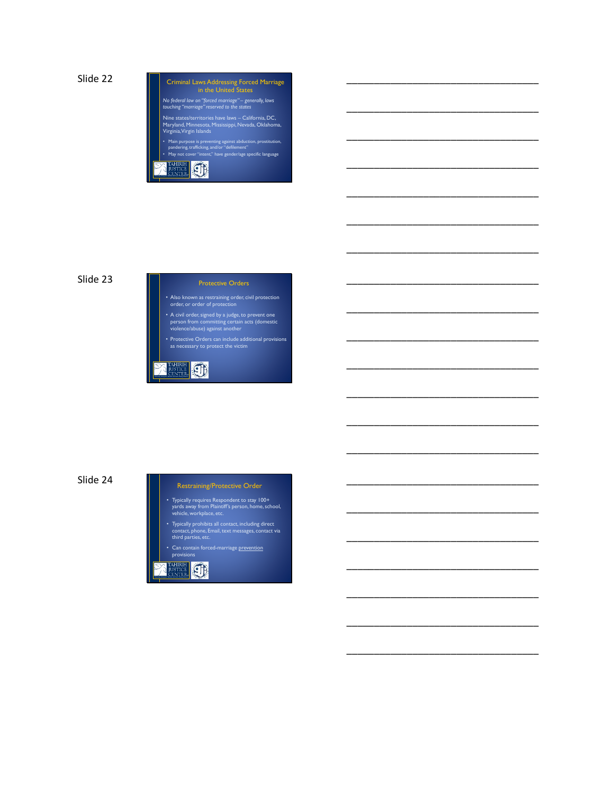

\_\_\_\_\_\_\_\_\_\_\_\_\_\_\_\_\_\_\_\_\_\_\_\_\_\_\_\_\_\_\_\_\_\_\_

\_\_\_\_\_\_\_\_\_\_\_\_\_\_\_\_\_\_\_\_\_\_\_\_\_\_\_\_\_\_\_\_\_\_\_

\_\_\_\_\_\_\_\_\_\_\_\_\_\_\_\_\_\_\_\_\_\_\_\_\_\_\_\_\_\_\_\_\_\_\_

\_\_\_\_\_\_\_\_\_\_\_\_\_\_\_\_\_\_\_\_\_\_\_\_\_\_\_\_\_\_\_\_\_\_\_

\_\_\_\_\_\_\_\_\_\_\_\_\_\_\_\_\_\_\_\_\_\_\_\_\_\_\_\_\_\_\_\_\_\_\_

\_\_\_\_\_\_\_\_\_\_\_\_\_\_\_\_\_\_\_\_\_\_\_\_\_\_\_\_\_\_\_\_\_\_\_

\_\_\_\_\_\_\_\_\_\_\_\_\_\_\_\_\_\_\_\_\_\_\_\_\_\_\_\_\_\_\_\_\_\_\_

\_\_\_\_\_\_\_\_\_\_\_\_\_\_\_\_\_\_\_\_\_\_\_\_\_\_\_\_\_\_\_\_\_\_\_

\_\_\_\_\_\_\_\_\_\_\_\_\_\_\_\_\_\_\_\_\_\_\_\_\_\_\_\_\_\_\_\_\_\_\_

\_\_\_\_\_\_\_\_\_\_\_\_\_\_\_\_\_\_\_\_\_\_\_\_\_\_\_\_\_\_\_\_\_\_\_

\_\_\_\_\_\_\_\_\_\_\_\_\_\_\_\_\_\_\_\_\_\_\_\_\_\_\_\_\_\_\_\_\_\_\_

\_\_\_\_\_\_\_\_\_\_\_\_\_\_\_\_\_\_\_\_\_\_\_\_\_\_\_\_\_\_\_\_\_\_\_

\_\_\_\_\_\_\_\_\_\_\_\_\_\_\_\_\_\_\_\_\_\_\_\_\_\_\_\_\_\_\_\_\_\_\_

\_\_\_\_\_\_\_\_\_\_\_\_\_\_\_\_\_\_\_\_\_\_\_\_\_\_\_\_\_\_\_\_\_\_\_

\_\_\_\_\_\_\_\_\_\_\_\_\_\_\_\_\_\_\_\_\_\_\_\_\_\_\_\_\_\_\_\_\_\_\_

\_\_\_\_\_\_\_\_\_\_\_\_\_\_\_\_\_\_\_\_\_\_\_\_\_\_\_\_\_\_\_\_\_\_\_

\_\_\_\_\_\_\_\_\_\_\_\_\_\_\_\_\_\_\_\_\_\_\_\_\_\_\_\_\_\_\_\_\_\_\_

\_\_\_\_\_\_\_\_\_\_\_\_\_\_\_\_\_\_\_\_\_\_\_\_\_\_\_\_\_\_\_\_\_\_\_

\_\_\_\_\_\_\_\_\_\_\_\_\_\_\_\_\_\_\_\_\_\_\_\_\_\_\_\_\_\_\_\_\_\_\_

\_\_\_\_\_\_\_\_\_\_\_\_\_\_\_\_\_\_\_\_\_\_\_\_\_\_\_\_\_\_\_\_\_\_\_

\_\_\_\_\_\_\_\_\_\_\_\_\_\_\_\_\_\_\_\_\_\_\_\_\_\_\_\_\_\_\_\_\_\_\_

# Slide 23

Protective Orders

• Also known as restraining order, civil protection order, or order of protection

• A civil order, signed by a judge, to prevent one person from committing certain acts (domestic violence/abuse) against another

• Protective Orders can include additional provisions as necessary to protect the victim

**AHIRIH CHE** 

# Slide 24

### Restraining/Protective Order

- Typically requires Respondent to stay 100+ yards away from Plaintiff's person, home, school, vehicle, workplace, etc.
- Typically prohibits all contact, including direct contact, phone, Email, text messages, contact via third parties, etc.
- Can contain forced-marriage prevention

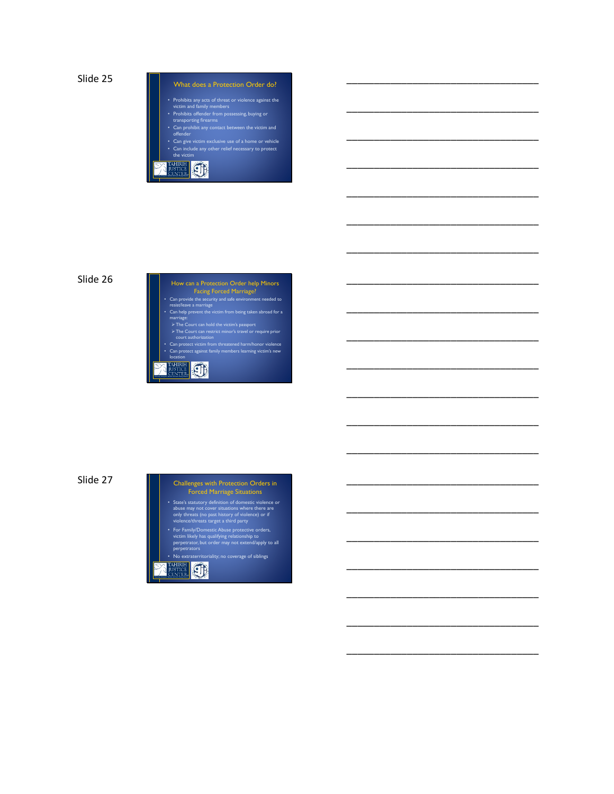What does a Protection Order do?

\_\_\_\_\_\_\_\_\_\_\_\_\_\_\_\_\_\_\_\_\_\_\_\_\_\_\_\_\_\_\_\_\_\_\_

\_\_\_\_\_\_\_\_\_\_\_\_\_\_\_\_\_\_\_\_\_\_\_\_\_\_\_\_\_\_\_\_\_\_\_

\_\_\_\_\_\_\_\_\_\_\_\_\_\_\_\_\_\_\_\_\_\_\_\_\_\_\_\_\_\_\_\_\_\_\_

\_\_\_\_\_\_\_\_\_\_\_\_\_\_\_\_\_\_\_\_\_\_\_\_\_\_\_\_\_\_\_\_\_\_\_

\_\_\_\_\_\_\_\_\_\_\_\_\_\_\_\_\_\_\_\_\_\_\_\_\_\_\_\_\_\_\_\_\_\_\_

\_\_\_\_\_\_\_\_\_\_\_\_\_\_\_\_\_\_\_\_\_\_\_\_\_\_\_\_\_\_\_\_\_\_\_

\_\_\_\_\_\_\_\_\_\_\_\_\_\_\_\_\_\_\_\_\_\_\_\_\_\_\_\_\_\_\_\_\_\_\_

\_\_\_\_\_\_\_\_\_\_\_\_\_\_\_\_\_\_\_\_\_\_\_\_\_\_\_\_\_\_\_\_\_\_\_

\_\_\_\_\_\_\_\_\_\_\_\_\_\_\_\_\_\_\_\_\_\_\_\_\_\_\_\_\_\_\_\_\_\_\_

\_\_\_\_\_\_\_\_\_\_\_\_\_\_\_\_\_\_\_\_\_\_\_\_\_\_\_\_\_\_\_\_\_\_\_

\_\_\_\_\_\_\_\_\_\_\_\_\_\_\_\_\_\_\_\_\_\_\_\_\_\_\_\_\_\_\_\_\_\_\_

\_\_\_\_\_\_\_\_\_\_\_\_\_\_\_\_\_\_\_\_\_\_\_\_\_\_\_\_\_\_\_\_\_\_\_

\_\_\_\_\_\_\_\_\_\_\_\_\_\_\_\_\_\_\_\_\_\_\_\_\_\_\_\_\_\_\_\_\_\_\_

\_\_\_\_\_\_\_\_\_\_\_\_\_\_\_\_\_\_\_\_\_\_\_\_\_\_\_\_\_\_\_\_\_\_\_

\_\_\_\_\_\_\_\_\_\_\_\_\_\_\_\_\_\_\_\_\_\_\_\_\_\_\_\_\_\_\_\_\_\_\_

\_\_\_\_\_\_\_\_\_\_\_\_\_\_\_\_\_\_\_\_\_\_\_\_\_\_\_\_\_\_\_\_\_\_\_

\_\_\_\_\_\_\_\_\_\_\_\_\_\_\_\_\_\_\_\_\_\_\_\_\_\_\_\_\_\_\_\_\_\_\_

\_\_\_\_\_\_\_\_\_\_\_\_\_\_\_\_\_\_\_\_\_\_\_\_\_\_\_\_\_\_\_\_\_\_\_

\_\_\_\_\_\_\_\_\_\_\_\_\_\_\_\_\_\_\_\_\_\_\_\_\_\_\_\_\_\_\_\_\_\_\_

\_\_\_\_\_\_\_\_\_\_\_\_\_\_\_\_\_\_\_\_\_\_\_\_\_\_\_\_\_\_\_\_\_\_\_

\_\_\_\_\_\_\_\_\_\_\_\_\_\_\_\_\_\_\_\_\_\_\_\_\_\_\_\_\_\_\_\_\_\_\_

- Prohibits any acts of threat or violence against the<br>
Victim and family members<br>
Prohibits offender from possessing, buying or<br>
Can prohibit any contact between the victim and<br>
Grander
- 
- Can give victim exclusive use of a home or vehicle Can include any other relief necessary to protect the victim
- **PROTECTION IN THE ANDREW COMPANY**

# Slide 26

| How can a Protection Order help Minors<br><b>Facing Forced Marriage?</b>             |
|--------------------------------------------------------------------------------------|
| • Can provide the security and safe environment needed to<br>resist/leave a marriage |
| • Can help prevent the victim from being taken abroad for a<br>marriage:             |
| $\triangleright$ The Court can hold the victim's passport                            |
| > The Court can restrict minor's travel or require prior<br>court authorization      |
| Can protect victim from threatened harm/honor violence                               |
| Can protect against family members learning victim's new<br>٠<br>location            |
|                                                                                      |

Slide 27



• For Family/Domestic Abuse protective orders, victim likely has qualifying relationship to perpetrator, but order may not extend/apply to all perpetrators • No extraterritoriality; no coverage of siblings

**PROTECTION AND READ IN**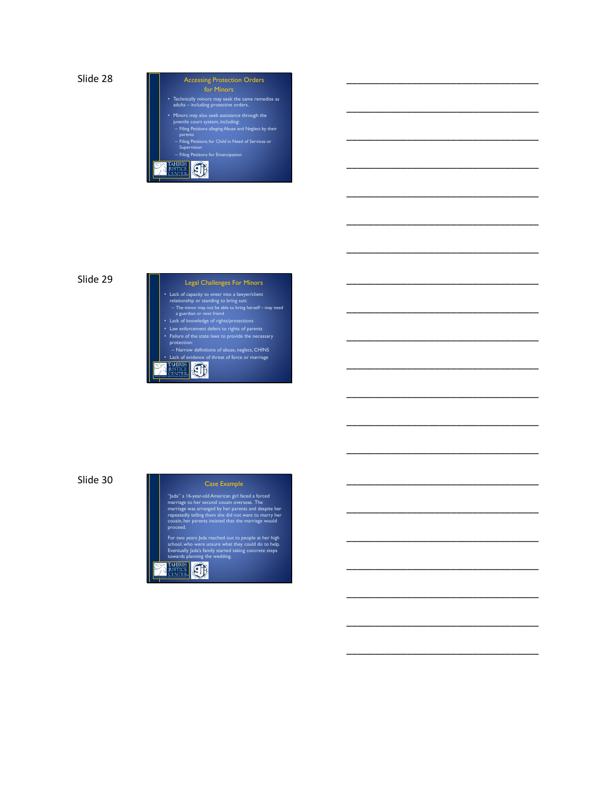# Accessing Protection Orders

• Technically minors may seek the same remedies as adults – including protective orders.

\_\_\_\_\_\_\_\_\_\_\_\_\_\_\_\_\_\_\_\_\_\_\_\_\_\_\_\_\_\_\_\_\_\_\_

\_\_\_\_\_\_\_\_\_\_\_\_\_\_\_\_\_\_\_\_\_\_\_\_\_\_\_\_\_\_\_\_\_\_\_

\_\_\_\_\_\_\_\_\_\_\_\_\_\_\_\_\_\_\_\_\_\_\_\_\_\_\_\_\_\_\_\_\_\_\_

\_\_\_\_\_\_\_\_\_\_\_\_\_\_\_\_\_\_\_\_\_\_\_\_\_\_\_\_\_\_\_\_\_\_\_

\_\_\_\_\_\_\_\_\_\_\_\_\_\_\_\_\_\_\_\_\_\_\_\_\_\_\_\_\_\_\_\_\_\_\_

\_\_\_\_\_\_\_\_\_\_\_\_\_\_\_\_\_\_\_\_\_\_\_\_\_\_\_\_\_\_\_\_\_\_\_

\_\_\_\_\_\_\_\_\_\_\_\_\_\_\_\_\_\_\_\_\_\_\_\_\_\_\_\_\_\_\_\_\_\_\_

\_\_\_\_\_\_\_\_\_\_\_\_\_\_\_\_\_\_\_\_\_\_\_\_\_\_\_\_\_\_\_\_\_\_\_

\_\_\_\_\_\_\_\_\_\_\_\_\_\_\_\_\_\_\_\_\_\_\_\_\_\_\_\_\_\_\_\_\_\_\_

\_\_\_\_\_\_\_\_\_\_\_\_\_\_\_\_\_\_\_\_\_\_\_\_\_\_\_\_\_\_\_\_\_\_\_

\_\_\_\_\_\_\_\_\_\_\_\_\_\_\_\_\_\_\_\_\_\_\_\_\_\_\_\_\_\_\_\_\_\_\_

\_\_\_\_\_\_\_\_\_\_\_\_\_\_\_\_\_\_\_\_\_\_\_\_\_\_\_\_\_\_\_\_\_\_\_

\_\_\_\_\_\_\_\_\_\_\_\_\_\_\_\_\_\_\_\_\_\_\_\_\_\_\_\_\_\_\_\_\_\_\_

\_\_\_\_\_\_\_\_\_\_\_\_\_\_\_\_\_\_\_\_\_\_\_\_\_\_\_\_\_\_\_\_\_\_\_

\_\_\_\_\_\_\_\_\_\_\_\_\_\_\_\_\_\_\_\_\_\_\_\_\_\_\_\_\_\_\_\_\_\_\_

\_\_\_\_\_\_\_\_\_\_\_\_\_\_\_\_\_\_\_\_\_\_\_\_\_\_\_\_\_\_\_\_\_\_\_

\_\_\_\_\_\_\_\_\_\_\_\_\_\_\_\_\_\_\_\_\_\_\_\_\_\_\_\_\_\_\_\_\_\_\_

\_\_\_\_\_\_\_\_\_\_\_\_\_\_\_\_\_\_\_\_\_\_\_\_\_\_\_\_\_\_\_\_\_\_\_

\_\_\_\_\_\_\_\_\_\_\_\_\_\_\_\_\_\_\_\_\_\_\_\_\_\_\_\_\_\_\_\_\_\_\_

\_\_\_\_\_\_\_\_\_\_\_\_\_\_\_\_\_\_\_\_\_\_\_\_\_\_\_\_\_\_\_\_\_\_\_

\_\_\_\_\_\_\_\_\_\_\_\_\_\_\_\_\_\_\_\_\_\_\_\_\_\_\_\_\_\_\_\_\_\_\_

- Minors may also seek assistance through the juvenile court system, including: Filing Petitions alleging Abuse and Neglect by their parents
- Filing Petitions for Child in Need of Services or Supervision
- *PROTECTION IMMEDIATE*

Slide 29

# **PROTECTION INTERPRETENT** Legal Challenges For Minors • Lack of capacity to enter into a lawyer/client<br>relationship or standing to bring suit:<br>The minor may not be able to bring herself – may need<br>a guardian or next friend<br>• Lack of knowledge of rights/protections<br>• Law enfor protection: – Narrow definitions of abuse, neglect, CHINS • Lack of evidence of threat of force or marriage

Slide 30

### Case Example

"Jada" a 16-year-old American girl faced a forced<br>marriage to her second cousin overseas. The<br>marriage was arranged by her parents and despite her<br>repeatedly telling them she did not want to marry her<br>cousin, her parents i

For two years Jada reached out to people at her high school, who were unsure what they could do to help. Eventually Jada's family started taking concrete steps towards planning the wedding.

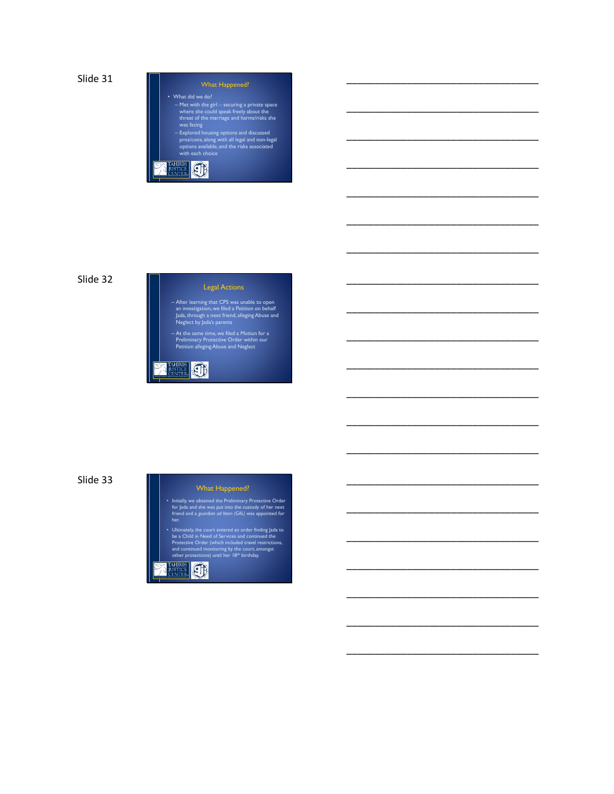• What did we do? – Met with the girl – securing a private space where she could speak freely about the threat of the marriage and harms/risks she was facing \_\_\_\_\_\_\_\_\_\_\_\_\_\_\_\_\_\_\_\_\_\_\_\_\_\_\_\_\_\_\_\_\_\_\_

\_\_\_\_\_\_\_\_\_\_\_\_\_\_\_\_\_\_\_\_\_\_\_\_\_\_\_\_\_\_\_\_\_\_\_

\_\_\_\_\_\_\_\_\_\_\_\_\_\_\_\_\_\_\_\_\_\_\_\_\_\_\_\_\_\_\_\_\_\_\_

\_\_\_\_\_\_\_\_\_\_\_\_\_\_\_\_\_\_\_\_\_\_\_\_\_\_\_\_\_\_\_\_\_\_\_

\_\_\_\_\_\_\_\_\_\_\_\_\_\_\_\_\_\_\_\_\_\_\_\_\_\_\_\_\_\_\_\_\_\_\_

\_\_\_\_\_\_\_\_\_\_\_\_\_\_\_\_\_\_\_\_\_\_\_\_\_\_\_\_\_\_\_\_\_\_\_

\_\_\_\_\_\_\_\_\_\_\_\_\_\_\_\_\_\_\_\_\_\_\_\_\_\_\_\_\_\_\_\_\_\_\_

\_\_\_\_\_\_\_\_\_\_\_\_\_\_\_\_\_\_\_\_\_\_\_\_\_\_\_\_\_\_\_\_\_\_\_

\_\_\_\_\_\_\_\_\_\_\_\_\_\_\_\_\_\_\_\_\_\_\_\_\_\_\_\_\_\_\_\_\_\_\_

\_\_\_\_\_\_\_\_\_\_\_\_\_\_\_\_\_\_\_\_\_\_\_\_\_\_\_\_\_\_\_\_\_\_\_

\_\_\_\_\_\_\_\_\_\_\_\_\_\_\_\_\_\_\_\_\_\_\_\_\_\_\_\_\_\_\_\_\_\_\_

\_\_\_\_\_\_\_\_\_\_\_\_\_\_\_\_\_\_\_\_\_\_\_\_\_\_\_\_\_\_\_\_\_\_\_

\_\_\_\_\_\_\_\_\_\_\_\_\_\_\_\_\_\_\_\_\_\_\_\_\_\_\_\_\_\_\_\_\_\_\_

\_\_\_\_\_\_\_\_\_\_\_\_\_\_\_\_\_\_\_\_\_\_\_\_\_\_\_\_\_\_\_\_\_\_\_

\_\_\_\_\_\_\_\_\_\_\_\_\_\_\_\_\_\_\_\_\_\_\_\_\_\_\_\_\_\_\_\_\_\_\_

\_\_\_\_\_\_\_\_\_\_\_\_\_\_\_\_\_\_\_\_\_\_\_\_\_\_\_\_\_\_\_\_\_\_\_

\_\_\_\_\_\_\_\_\_\_\_\_\_\_\_\_\_\_\_\_\_\_\_\_\_\_\_\_\_\_\_\_\_\_\_

\_\_\_\_\_\_\_\_\_\_\_\_\_\_\_\_\_\_\_\_\_\_\_\_\_\_\_\_\_\_\_\_\_\_\_

\_\_\_\_\_\_\_\_\_\_\_\_\_\_\_\_\_\_\_\_\_\_\_\_\_\_\_\_\_\_\_\_\_\_\_

\_\_\_\_\_\_\_\_\_\_\_\_\_\_\_\_\_\_\_\_\_\_\_\_\_\_\_\_\_\_\_\_\_\_\_

\_\_\_\_\_\_\_\_\_\_\_\_\_\_\_\_\_\_\_\_\_\_\_\_\_\_\_\_\_\_\_\_\_\_\_

- 
- *Protecting Immigrant Women and Girls Fleeing Violence* – Explored housing options and discussed pros/cons, along with all legal and non-legal options available, and the risks associated with each choice

# Slide 32

# Legal Actions

– After learning that CPS was unable to open an investigation, we filed a Petition on behalf Jada, through a next friend, alleging Abuse and Neglect by Jada's parents

– At the same time, we filed a Motion for a Preliminary Protective Order within our Petition alleging Abuse and Neglect



Slide 33

### What Happened?

- Initially, we obtained the Preliminary Protective Order for Jada and she was put into the custody of her next friend and a *guardian ad litem (GAL)* was appointed for her.
- Ultimately, the court entered an order finding Jada to<br>be a Child in Need of Services and continued the<br>Protective Order (which included travel restrictions,<br>and continued monitoring by the court, amongst<br>other protecti

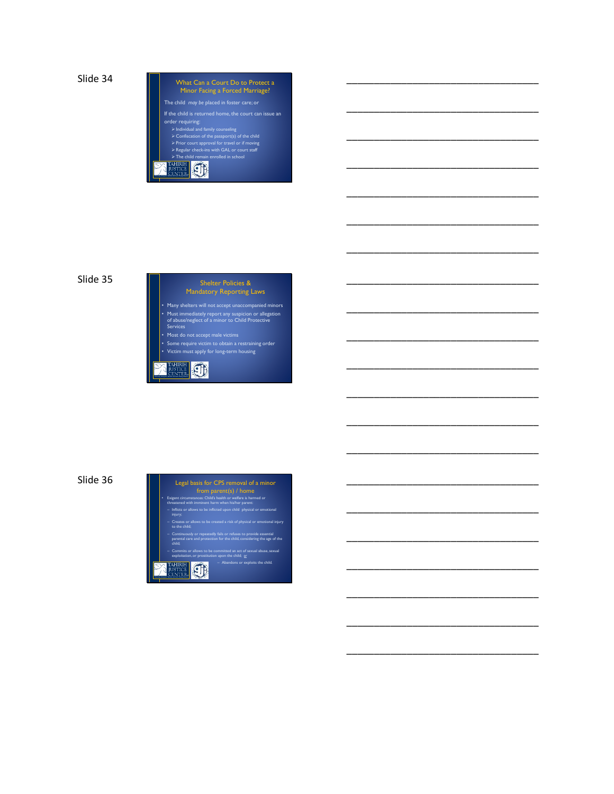

\_\_\_\_\_\_\_\_\_\_\_\_\_\_\_\_\_\_\_\_\_\_\_\_\_\_\_\_\_\_\_\_\_\_\_

\_\_\_\_\_\_\_\_\_\_\_\_\_\_\_\_\_\_\_\_\_\_\_\_\_\_\_\_\_\_\_\_\_\_\_

\_\_\_\_\_\_\_\_\_\_\_\_\_\_\_\_\_\_\_\_\_\_\_\_\_\_\_\_\_\_\_\_\_\_\_

\_\_\_\_\_\_\_\_\_\_\_\_\_\_\_\_\_\_\_\_\_\_\_\_\_\_\_\_\_\_\_\_\_\_\_

\_\_\_\_\_\_\_\_\_\_\_\_\_\_\_\_\_\_\_\_\_\_\_\_\_\_\_\_\_\_\_\_\_\_\_

\_\_\_\_\_\_\_\_\_\_\_\_\_\_\_\_\_\_\_\_\_\_\_\_\_\_\_\_\_\_\_\_\_\_\_

\_\_\_\_\_\_\_\_\_\_\_\_\_\_\_\_\_\_\_\_\_\_\_\_\_\_\_\_\_\_\_\_\_\_\_

\_\_\_\_\_\_\_\_\_\_\_\_\_\_\_\_\_\_\_\_\_\_\_\_\_\_\_\_\_\_\_\_\_\_\_

\_\_\_\_\_\_\_\_\_\_\_\_\_\_\_\_\_\_\_\_\_\_\_\_\_\_\_\_\_\_\_\_\_\_\_

\_\_\_\_\_\_\_\_\_\_\_\_\_\_\_\_\_\_\_\_\_\_\_\_\_\_\_\_\_\_\_\_\_\_\_

\_\_\_\_\_\_\_\_\_\_\_\_\_\_\_\_\_\_\_\_\_\_\_\_\_\_\_\_\_\_\_\_\_\_\_

\_\_\_\_\_\_\_\_\_\_\_\_\_\_\_\_\_\_\_\_\_\_\_\_\_\_\_\_\_\_\_\_\_\_\_

\_\_\_\_\_\_\_\_\_\_\_\_\_\_\_\_\_\_\_\_\_\_\_\_\_\_\_\_\_\_\_\_\_\_\_

\_\_\_\_\_\_\_\_\_\_\_\_\_\_\_\_\_\_\_\_\_\_\_\_\_\_\_\_\_\_\_\_\_\_\_

\_\_\_\_\_\_\_\_\_\_\_\_\_\_\_\_\_\_\_\_\_\_\_\_\_\_\_\_\_\_\_\_\_\_\_

\_\_\_\_\_\_\_\_\_\_\_\_\_\_\_\_\_\_\_\_\_\_\_\_\_\_\_\_\_\_\_\_\_\_\_

\_\_\_\_\_\_\_\_\_\_\_\_\_\_\_\_\_\_\_\_\_\_\_\_\_\_\_\_\_\_\_\_\_\_\_

\_\_\_\_\_\_\_\_\_\_\_\_\_\_\_\_\_\_\_\_\_\_\_\_\_\_\_\_\_\_\_\_\_\_\_

\_\_\_\_\_\_\_\_\_\_\_\_\_\_\_\_\_\_\_\_\_\_\_\_\_\_\_\_\_\_\_\_\_\_\_

\_\_\_\_\_\_\_\_\_\_\_\_\_\_\_\_\_\_\_\_\_\_\_\_\_\_\_\_\_\_\_\_\_\_\_

\_\_\_\_\_\_\_\_\_\_\_\_\_\_\_\_\_\_\_\_\_\_\_\_\_\_\_\_\_\_\_\_\_\_\_

# Slide 35



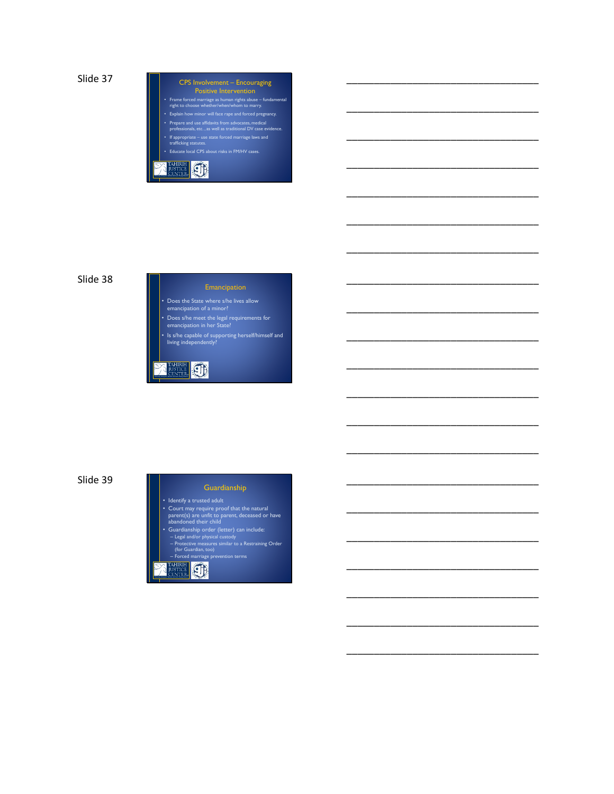

\_\_\_\_\_\_\_\_\_\_\_\_\_\_\_\_\_\_\_\_\_\_\_\_\_\_\_\_\_\_\_\_\_\_\_

\_\_\_\_\_\_\_\_\_\_\_\_\_\_\_\_\_\_\_\_\_\_\_\_\_\_\_\_\_\_\_\_\_\_\_

\_\_\_\_\_\_\_\_\_\_\_\_\_\_\_\_\_\_\_\_\_\_\_\_\_\_\_\_\_\_\_\_\_\_\_

\_\_\_\_\_\_\_\_\_\_\_\_\_\_\_\_\_\_\_\_\_\_\_\_\_\_\_\_\_\_\_\_\_\_\_

\_\_\_\_\_\_\_\_\_\_\_\_\_\_\_\_\_\_\_\_\_\_\_\_\_\_\_\_\_\_\_\_\_\_\_

\_\_\_\_\_\_\_\_\_\_\_\_\_\_\_\_\_\_\_\_\_\_\_\_\_\_\_\_\_\_\_\_\_\_\_

\_\_\_\_\_\_\_\_\_\_\_\_\_\_\_\_\_\_\_\_\_\_\_\_\_\_\_\_\_\_\_\_\_\_\_

\_\_\_\_\_\_\_\_\_\_\_\_\_\_\_\_\_\_\_\_\_\_\_\_\_\_\_\_\_\_\_\_\_\_\_

\_\_\_\_\_\_\_\_\_\_\_\_\_\_\_\_\_\_\_\_\_\_\_\_\_\_\_\_\_\_\_\_\_\_\_

\_\_\_\_\_\_\_\_\_\_\_\_\_\_\_\_\_\_\_\_\_\_\_\_\_\_\_\_\_\_\_\_\_\_\_

\_\_\_\_\_\_\_\_\_\_\_\_\_\_\_\_\_\_\_\_\_\_\_\_\_\_\_\_\_\_\_\_\_\_\_

\_\_\_\_\_\_\_\_\_\_\_\_\_\_\_\_\_\_\_\_\_\_\_\_\_\_\_\_\_\_\_\_\_\_\_

\_\_\_\_\_\_\_\_\_\_\_\_\_\_\_\_\_\_\_\_\_\_\_\_\_\_\_\_\_\_\_\_\_\_\_

\_\_\_\_\_\_\_\_\_\_\_\_\_\_\_\_\_\_\_\_\_\_\_\_\_\_\_\_\_\_\_\_\_\_\_

\_\_\_\_\_\_\_\_\_\_\_\_\_\_\_\_\_\_\_\_\_\_\_\_\_\_\_\_\_\_\_\_\_\_\_

\_\_\_\_\_\_\_\_\_\_\_\_\_\_\_\_\_\_\_\_\_\_\_\_\_\_\_\_\_\_\_\_\_\_\_

\_\_\_\_\_\_\_\_\_\_\_\_\_\_\_\_\_\_\_\_\_\_\_\_\_\_\_\_\_\_\_\_\_\_\_

\_\_\_\_\_\_\_\_\_\_\_\_\_\_\_\_\_\_\_\_\_\_\_\_\_\_\_\_\_\_\_\_\_\_\_

\_\_\_\_\_\_\_\_\_\_\_\_\_\_\_\_\_\_\_\_\_\_\_\_\_\_\_\_\_\_\_\_\_\_\_

\_\_\_\_\_\_\_\_\_\_\_\_\_\_\_\_\_\_\_\_\_\_\_\_\_\_\_\_\_\_\_\_\_\_\_

\_\_\_\_\_\_\_\_\_\_\_\_\_\_\_\_\_\_\_\_\_\_\_\_\_\_\_\_\_\_\_\_\_\_\_

# Slide 38

• Does the State where s/he lives allow emancipation of a minor?

• Does s/he meet the legal requirements for emancipation in her State?

• Is s/he capable of supporting herself/himself and living independently?

**AHIRIH** CI

# Slide 39

## Guardianship

• Identify a trusted adult

- Court may require proof that the natural<br>parent(s) are unfit to parent, deceased or have<br>abandoned their child<br>**•** Guardianship order (letter) can include:<br>- Legal and/or physical custody<br>- Protective measures similar t
- 
- 

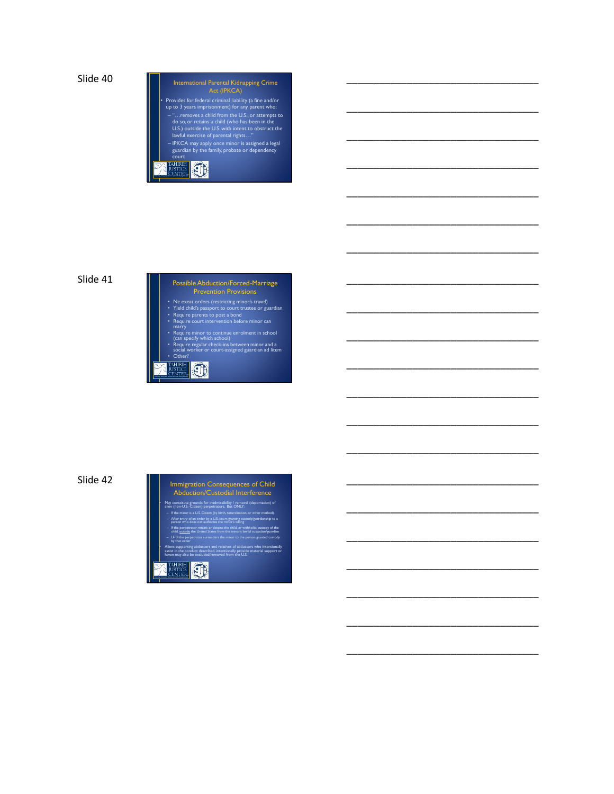# **Protection Contract Contract Contract Contract Protection Contract Protection Contract Contract Protection Contract Protection Contract Protection Contract Protection Contract Protection Contract Protection Contract Prote** International Parental Kidnapping Crime Act (IPKCA) • Provides for federal criminal liability (a fine and/or up to 3 years imprisonment) for any parent who: - "...removes a child from the U.S., or attempts to<br>do so, or retains a child (who has been in the<br>U.S.) outside the U.S. with intent to obstruct the<br>lawful exercise of parental rights..."<br>- IPKCA may apply once minor is a

\_\_\_\_\_\_\_\_\_\_\_\_\_\_\_\_\_\_\_\_\_\_\_\_\_\_\_\_\_\_\_\_\_\_\_

\_\_\_\_\_\_\_\_\_\_\_\_\_\_\_\_\_\_\_\_\_\_\_\_\_\_\_\_\_\_\_\_\_\_\_

\_\_\_\_\_\_\_\_\_\_\_\_\_\_\_\_\_\_\_\_\_\_\_\_\_\_\_\_\_\_\_\_\_\_\_

\_\_\_\_\_\_\_\_\_\_\_\_\_\_\_\_\_\_\_\_\_\_\_\_\_\_\_\_\_\_\_\_\_\_\_

\_\_\_\_\_\_\_\_\_\_\_\_\_\_\_\_\_\_\_\_\_\_\_\_\_\_\_\_\_\_\_\_\_\_\_

\_\_\_\_\_\_\_\_\_\_\_\_\_\_\_\_\_\_\_\_\_\_\_\_\_\_\_\_\_\_\_\_\_\_\_

\_\_\_\_\_\_\_\_\_\_\_\_\_\_\_\_\_\_\_\_\_\_\_\_\_\_\_\_\_\_\_\_\_\_\_

\_\_\_\_\_\_\_\_\_\_\_\_\_\_\_\_\_\_\_\_\_\_\_\_\_\_\_\_\_\_\_\_\_\_\_

\_\_\_\_\_\_\_\_\_\_\_\_\_\_\_\_\_\_\_\_\_\_\_\_\_\_\_\_\_\_\_\_\_\_\_

\_\_\_\_\_\_\_\_\_\_\_\_\_\_\_\_\_\_\_\_\_\_\_\_\_\_\_\_\_\_\_\_\_\_\_

\_\_\_\_\_\_\_\_\_\_\_\_\_\_\_\_\_\_\_\_\_\_\_\_\_\_\_\_\_\_\_\_\_\_\_

\_\_\_\_\_\_\_\_\_\_\_\_\_\_\_\_\_\_\_\_\_\_\_\_\_\_\_\_\_\_\_\_\_\_\_

\_\_\_\_\_\_\_\_\_\_\_\_\_\_\_\_\_\_\_\_\_\_\_\_\_\_\_\_\_\_\_\_\_\_\_

\_\_\_\_\_\_\_\_\_\_\_\_\_\_\_\_\_\_\_\_\_\_\_\_\_\_\_\_\_\_\_\_\_\_\_

\_\_\_\_\_\_\_\_\_\_\_\_\_\_\_\_\_\_\_\_\_\_\_\_\_\_\_\_\_\_\_\_\_\_\_

\_\_\_\_\_\_\_\_\_\_\_\_\_\_\_\_\_\_\_\_\_\_\_\_\_\_\_\_\_\_\_\_\_\_\_

\_\_\_\_\_\_\_\_\_\_\_\_\_\_\_\_\_\_\_\_\_\_\_\_\_\_\_\_\_\_\_\_\_\_\_

\_\_\_\_\_\_\_\_\_\_\_\_\_\_\_\_\_\_\_\_\_\_\_\_\_\_\_\_\_\_\_\_\_\_\_

\_\_\_\_\_\_\_\_\_\_\_\_\_\_\_\_\_\_\_\_\_\_\_\_\_\_\_\_\_\_\_\_\_\_\_

\_\_\_\_\_\_\_\_\_\_\_\_\_\_\_\_\_\_\_\_\_\_\_\_\_\_\_\_\_\_\_\_\_\_\_

\_\_\_\_\_\_\_\_\_\_\_\_\_\_\_\_\_\_\_\_\_\_\_\_\_\_\_\_\_\_\_\_\_\_\_

# Slide 41